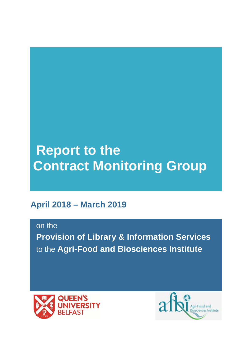# **Report to the Contract Monitoring Group**

# **April 2018 – March 2019**

on the

**Provision of Library & Information Services**  to the **Agri-Food and Biosciences Institute** 



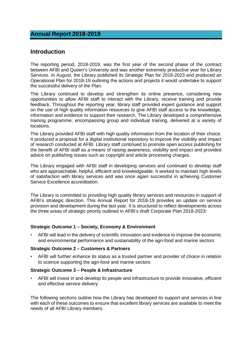## **Annual Report 2018-2019**

## **Introduction**

The reporting period, 2018-2019, was the first year of the second phase of the contract between AFBI and Queen's University and was another extremely productive year for Library Services. In August, the Library published its Strategic Plan for 2018-2023 and produced an Operational Plan for 2018-19 outlining the actions and projects it would undertake to support the successful delivery of the Plan.

The Library continued to develop and strengthen its online presence, considering new opportunities to allow AFBI staff to interact with the Library, receive training and provide feedback. Throughout the reporting year, library staff provided expert guidance and support on the use of high quality information resources to give AFBI staff access to the knowledge, information and evidence to support their research. The Library developed a comprehensive training programme, encompassing group and individual training, delivered at a variety of locations.

The Library provided AFBI staff with high quality information from the location of their choice. It produced a proposal for a digital institutional repository to improve the visibility and impact of research conducted at AFBI. Library staff continued to promote open access publishing for the benefit of AFBI staff as a means of raising awareness, visibility and impact and provided advice on publishing issues such as copyright and article processing charges.

The Library engaged with AFBI staff in developing services and continued to develop staff who are approachable, helpful, efficient and knowledgeable. It worked to maintain high levels of satisfaction with library services and was once again successful in achieving Customer Service Excellence accreditation.

The Library is committed to providing high quality library services and resources in support of AFBI's strategic direction. This Annual Report for 2018-19 provides an update on service provision and development during the last year. It is structured to reflect developments across the three areas of strategic priority outlined in AFBI's draft Corporate Plan 2018-2023:

#### **Strategic Outcome 1 – Society, Economy & Environment**

• AFBI will lead in the delivery of scientific innovation and evidence to improve the economic and environmental performance and sustainability of the agri-food and marine sectors

#### **Strategic Outcome 2 – Customers & Partners**

• AFBI will further enhance its status as a trusted partner and provider of choice in relation to science supporting the agri-food and marine sectors

#### **Strategic Outcome 3 – People & Infrastructure**

• AFBI will invest in and develop its people and infrastructure to provide innovative, efficient and effective service delivery

The following sections outline how the Library has developed its support and services in line with each of these outcomes to ensure that excellent library services are available to meet the needs of all AFBI Library members.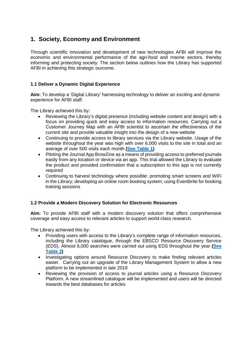## **1. Society, Economy and Environment**

Through scientific innovation and development of new technologies AFBI will improve the economic and environmental performance of the agri-food and marine sectors, thereby informing and protecting society. The section below outlines how the Library has supported AFBI in achieving this strategic ourcome.

## **1.1 Deliver a Dynamic Digital Experience**

**Aim:** To develop a 'Digital Library' harnessing technology to deliver an exciting and dynamic experience for AFBI staff.

The Library achieved this by:

- Reviewing the Library's digital presence (including website content and design) with a focus on providing quick and easy access to information resources. Carrying out a Customer Journey Map with an AFBI scientist to ascertain the effectiveness of the current site and provide valuable insight into the design of a new website
- Continuing to provide access to library services via the Library website. Usage of the website throughout the year was high with over 6,000 visits to the site in total and an average of over 500 visits each month **[\(See Table 1\)](#page-9-0)**
- <span id="page-2-0"></span>• Piloting the Journal App BrowZine as a means of providing access to preferred journals easily from any location or device via an app. This trial allowed the Library to evaluate the product and provided confirmation that a subscription to this app is not currently required
- Continuing to harvest technology where possible: promoting smart screens and WiFi in the Library; developing an online room booking system; using Eventbrite for booking training sessions

## **1.2 Provide a Modern Discovery Solution for Electronic Resources**

**Aim:** To provide AFBI staff with a modern discovery solution that offers comprehensive coverage and easy access to relevant articles to support world-class research.

- <span id="page-2-1"></span>• Providing users with access to the Library's complete range of information resources, including the Library catalogue, through the EBSCO Resource Discovery Service (EDS). Almost 6,000 searches were carried out using EDS throughout the year **[\(See](#page-9-1)  [Table 2\)](#page-9-1)**
- Investigating options around Resource Discovery to make finding relevant articles easier. Carrying out an upgrade of the Library Management System to allow a new platform to be implemented in late 2019
- Reviewing the provision of access to journal articles using a Resource Discovery Platform. A new streamlined catalogue will be implemented and users will be directed towards the best databases for articles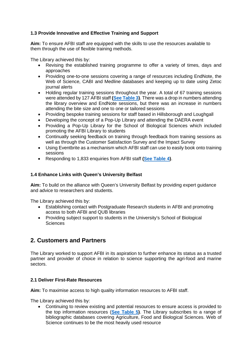## **1.3 Provide Innovative and Effective Training and Support**

**Aim:** To ensure AFBI staff are equipped with the skills to use the resources available to them through the use of flexible training methods.

The Library achieved this by:

- Revising the established training programme to offer a variety of times, days and approaches
- Providing one-to-one sessions covering a range of resources including EndNote, the Web of Science, CABI and Medline databases and keeping up to date using Zetoc journal alerts
- <span id="page-3-0"></span>• Holding regular training sessions throughout the year. A total of 67 training sessions were attended by 127 AFBI staff **[\(See Table 3\)](#page-9-2)**. There was a drop in numbers attending the library overview and EndNote sessions, but there was an increase in numbers attending the bite size and one to one or tailored sessions
- Providing bespoke training sessions for staff based in Hillsborough and Loughgall
- Developing the concept of a Pop-Up Library and attending the DAERA event
- Providing a Pop-Up Library for the School of Biological Sciences which included promoting the AFBI Library to students
- Continually seeking feedback on training through feedback from training sessions as well as through the Customer Satisfaction Survey and the Impact Survey
- Using Eventbrite as a mechanism which AFBI staff can use to easily book onto training sessions
- <span id="page-3-1"></span>• Responding to 1,833 enquiries from AFBI staff **[\(See Table 4\)](#page-10-0)**.

#### **1.4 Enhance Links with Queen's University Belfast**

**Aim:** To build on the alliance with Queen's University Belfast by providing expert guidance and advice to researchers and students.

The Library achieved this by:

- Establishing contact with Postgraduate Research students in AFBI and promoting access to both AFBI and QUB libraries
- Providing subject support to students in the University's School of Biological **Sciences**

## **2. Customers and Partners**

The Library worked to support AFBI in its aspiration to further enhance its status as a trusted partner and provider of choice in relation to science supporting the agri-food and marine sectors.

#### **2.1 Deliver First-Rate Resources**

**Aim:** To maximise access to high quality information resources to AFBI staff.

The Library achieved this by:

<span id="page-3-2"></span>• Continuing to review existing and potential resources to ensure access is provided to the top information resources (**[See Table 5\)](#page-10-1)**. The Library subscribes to a range of bibliographic databases covering Agriculture, Food and Biological Sciences. Web of Science continues to be the most heavily used resource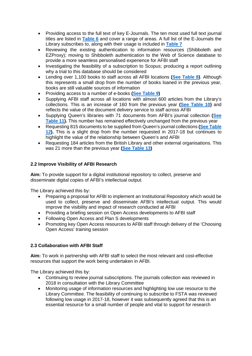- <span id="page-4-0"></span>• Providing access to the full text of key E-Journals. The ten most used full text journal titles are listed in **[Table 6](#page-10-2)** and cover a range of areas. A full list of the E-Journals the Library subscribes to, along with their usage is included in **[Table 7](#page-11-0)**
- <span id="page-4-1"></span>• Reviewing the existing authentication to information resources (Shibboleth and EZProxy); moving to Shibboleth authentication to the Web of Science database to provide a more seamless personalised experience for AFBI staff
- Investigating the feasibility of a subscription to Scopus; producing a report outlining why a trial to this database should be considered
- <span id="page-4-2"></span>• Lending over 1,100 books to staff across all AFBI locations **[\(See Table 8\)](#page-12-0)**. Although this represents a small drop from the number of books loaned in the previous year, books are still valuable sources of information
- <span id="page-4-3"></span>• Providing access to a number of e-books **[\(See Table 9\)](#page-12-1)**
- <span id="page-4-4"></span>• Supplying AFBI staff across all locations with almost 600 articles from the Library's collections. This is an increase of 160 from the previous year **[\(See Table 10\)](#page-13-0)** and reflects the value of the document delivery service to staff across AFBI
- <span id="page-4-5"></span>• Supplying Queen's libraries with 71 documents from AFBI's journal collection **[\(See](#page-13-1)  [Table 11\)](#page-13-1).** This number has remained effectively unchanged from the previous year
- <span id="page-4-6"></span>• Requesting 815 documents to be supplied from Queen's journal collections **[\(See Table](#page-13-2)  [12\)](#page-13-2).** This is a slight drop from the number requested in 2017-18 but continues to highlight the value of the relationship between Queen's and AFBI
- <span id="page-4-7"></span>• Requesting 184 articles from the British Library and other external organisations. This was 21 more than the previous year **[\(See Table 13\)](#page-13-3)**

## **2.2 Improve Visibility of AFBI Research**

**Aim:** To provide support for a digital institutional repository to collect, preserve and disseminate digital copies of AFBI's intellectual output.

The Library achieved this by:

- Preparing a proposal for AFBI to implement an Institutional Repository which would be used to collect, preserve and disseminate AFBI's intellectual output. This would improve the visibility and impact of research conducted at AFBI
- Providing a briefing session on Open Access developments to AFBI staff
- Following Open Access and Plan S developments
- Promoting key Open Access resources to AFBI staff through delivery of the 'Choosing Open Access' training session

#### **2.3 Collaboration with AFBI Staff**

**Aim:** To work in partnership with AFBI staff to select the most relevant and cost-effective resources that support the work being undertaken in AFBI.

- Continuing to review journal subscriptions. The journals collection was reviewed in 2018 in consultation with the Library Committee
- Monitoring usage of information resources and highlighting low use resource to the Library Committee. The feasibility of continuing to subscribe to FSTA was reviewed following low usage in 2017-18, however it was subsequently agreed that this is an essential resource for a small number of people and vital to support for research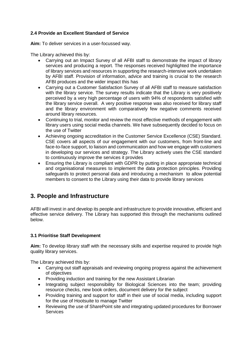## **2.4 Provide an Excellent Standard of Service**

**Aim:** To deliver services in a user-focussed way.

The Library achieved this by:

- Carrying out an Impact Survey of all AFBI staff to demonstrate the impact of library services and producing a report. The responses received highlighted the importance of library services and resources in supporting the research-intensive work undertaken by AFBI staff. Provision of information, advice and training is crucial to the research AFBI produces and the wider impact this has
- Carrying out a Customer Satisfaction Survey of all AFBI staff to measure satisfaction with the library service. The survey results indicate that the Library is very positively perceived by a very high percentage of users with 94% of respondents satisfied with the library service overall. A very positive response was also received for library staff and the library environment with comparatively few negative comments received around library resources.
- Continuing to trial, monitor and review the most effective methods of engagement with library users using social media channels. We have subsequently decided to focus on the use of Twitter
- Achieving ongoing accreditation in the Customer Service Excellence (CSE) Standard. CSE covers all aspects of our engagement with our customers, from front-line and face-to-face support, to liaison and communication and how we engage with customers in developing our services and strategy. The Library actively uses the CSE standard to continuously improve the services it provides
- Ensuring the Library is compliant with GDPR by putting in place appropriate technical and organisational measures to implement the data protection principles. Providing safeguards to protect personal data and introducing a mechanism to allow potential members to consent to the Library using their data to provide library services

## **3. People and Infrastructure**

AFBI will invest in and develop its people and infrastructure to provide innovative, efficient and effective service delivery. The Library has supported this through the mechanisms outlined below.

## **3.1 Prioritise Staff Development**

**Aim:** To develop library staff with the necessary skills and expertise required to provide high quality library services.

- Carrying out staff appraisals and reviewing ongoing progress against the achievement of objectives
- Providing induction and training for the new Assistant Librarian
- Integrating subject responsibility for Biological Sciences into the team; providing resource checks, new book orders, document delivery for the subject
- Providing training and support for staff in their use of social media, including support for the use of Hootsuite to manage Twitter
- Reviewing the use of SharePoint site and integrating updated procedures for Borrower **Services**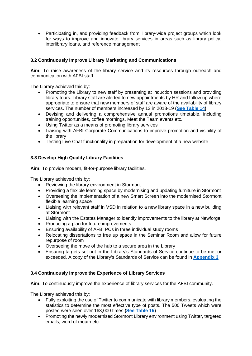• Participating in, and providing feedback from, library-wide project groups which look for ways to improve and innovate library services in areas such as library policy, interlibrary loans, and reference management

## **3.2 Continuously Improve Library Marketing and Communications**

**Aim:** To raise awareness of the library service and its resources through outreach and communication with AFBI staff.

The Library achieved this by:

- Promoting the Library to new staff by presenting at induction sessions and providing library tours. Library staff are alerted to new appointments by HR and follow up where appropriate to ensure that new members of staff are aware of the availability of library services. The number of members increased by 12 in 2018-19 **[\(See Table 14\)](#page-13-4)**
- <span id="page-6-0"></span>• Devising and delivering a comprehensive annual promotions timetable, including training opportunities, coffee mornings, Meet the Team events etc.
- Using Twitter as a means of promoting library services
- Liaising with AFBI Corporate Communications to improve promotion and visibility of the library
- Testing Live Chat functionality in preparation for development of a new website

## **3.3 Develop High Quality Library Facilities**

**Aim:** To provide modern, fit-for-purpose library facilities.

The Library achieved this by:

- Reviewing the library environment in Stormont
- Providing a flexible learning space by modernising and updating furniture in Stormont
- Overseeing the implementation of a new Smart Screen into the modernised Stormont flexible learning space
- Liaising with relevant staff in VSD in relation to a new library space in a new building at Stormont
- Liaising with the Estates Manager to identify improvements to the library at Newforge
- Producing a plan for future improvements
- Ensuring availability of AFBI PCs in three individual study rooms
- Relocating dissertations to free up space in the Seminar Room and allow for future repurpose of room
- Overseeing the move of the hub to a secure area in the Library
- <span id="page-6-2"></span>• Ensuring targets set out in the Library's Standards of Service continue to be met or exceeded. A copy of the Library's Standards of Service can be found in **[Appendix 3](#page-15-0)**

## **3.4 Continuously Improve the Experience of Library Services**

**Aim:** To continuously improve the experience of library services for the AFBI community.

- Fully exploiting the use of Twitter to communicate with library members, evaluating the statistics to determine the most effective type of posts. The 500 Tweets which were posted were seen over 163,000 times **[\(See Table 15\)](#page-14-0)**
- <span id="page-6-1"></span>• Promoting the newly modernised Stormont Library environment using Twitter, targeted emails, word of mouth etc.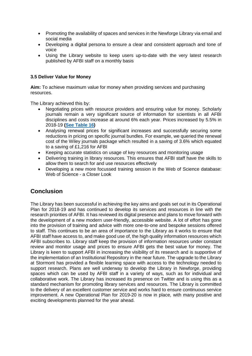- Promoting the availability of spaces and services in the Newforge Library via email and social media
- Developing a digital persona to ensure a clear and consistent approach and tone of voice
- Using the Library website to keep users up-to-date with the very latest research published by AFBI staff on a monthly basis

#### **3.5 Deliver Value for Money**

**Aim:** To achieve maximum value for money when providing services and purchasing resources.

The Library achieved this by:

- Negotiating prices with resource providers and ensuring value for money. Scholarly journals remain a very significant source of information for scientists in all AFBI disciplines and costs increase at around 6% each year. Prices increased by 5.5% in 2018-19 **[\(See Table 16\)](#page-14-1)**
- <span id="page-7-0"></span>• Analysing renewal prices for significant increases and successfully securing some reductions in pricing on specific journal bundles. For example, we queried the renewal cost of the Wiley journals package which resulted in a saving of 3.6% which equated to a saving of £1,216 for AFBI
- Keeping accurate statistics on usage of key resources and monitoring usage
- Delivering training in library resources. This ensures that AFBI staff have the skills to allow them to search for and use resources effectively
- Developing a new more focussed training session in the Web of Science database: Web of Science - a Closer Look

## **Conclusion**

The Library has been successful in achieving the key aims and goals set out in its Operational Plan for 2018-19 and has continued to develop its services and resources in line with the research priorities of AFBI. It has reviewed its digital presence and plans to move forward with the development of a new modern user-friendly, accessible website. A lot of effort has gone into the provision of training and advice with more one-to-one and bespoke sessions offered to staff. This continues to be an area of importance to the Library as it works to ensure that AFBI staff have access to, and make good use of, the high quality information resources which AFBI subscribes to. Library staff keep the provision of information resources under constant review and monitor usage and prices to ensure AFBI gets the best value for money. The Library is keen to support AFBI in increasing the visibility of its research and is supportive of the implementation of an Institutional Repository in the near future. The upgrade to the Library at Stormont has provided a flexible learning space with access to the technology needed to support research. Plans are well underway to develop the Library in Newforge, providing spaces which can be used by AFBI staff in a variety of ways, such as for individual and collaborative work. The Library has increased its presence on Twitter and is using this as a standard mechanism for promoting library services and resources. The Library is committed to the delivery of an excellent customer service and works hard to ensure continuous service improvement. A new Operational Plan for 2019-20 is now in place, with many positive and exciting developments planned for the year ahead.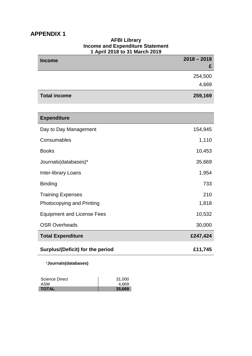## **APPENDIX 1**

| <b>Income</b>                           | $2018 - 2019$<br>£ |
|-----------------------------------------|--------------------|
|                                         | 254,500            |
|                                         | 4,669              |
| <b>Total income</b>                     | 259,169            |
|                                         |                    |
| <b>Expenditure</b>                      |                    |
| Day to Day Management                   | 154,945            |
| Consumables                             | 1,110              |
| <b>Books</b>                            | 10,453             |
| Journals(databases)*                    | 35,669             |
| Inter-library Loans                     | 1,954              |
| <b>Binding</b>                          | 733                |
| <b>Training Expenses</b>                | 210                |
| Photocopying and Printing               | 1,818              |
| <b>Equipment and License Fees</b>       | 10,532             |
| <b>OSR Overheads</b>                    | 30,000             |
| <b>Total Expenditure</b>                | £247,424           |
| <b>Surplus/(Deficit) for the period</b> | £11,745            |

# **AFBI Library**

\***Journals(databases)**

| Science Direct | 31,000 |
|----------------|--------|
| ASM            | 4.669  |
| <b>TOTAL</b>   | 35.669 |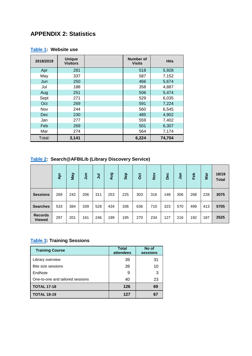## **APPENDIX 2: Statistics**

## <span id="page-9-0"></span>**[Table 1:](#page-2-0) Website use**

| 2018/2019 | <b>Unique</b><br><b>Visitors</b> | Number of<br><b>Visits</b> | <b>Hits</b> |
|-----------|----------------------------------|----------------------------|-------------|
| Apr       | 281                              | 518                        | 5,928       |
| May       | 337                              | 587                        | 7,152       |
| Jun       | 250                              | 466                        | 5,674       |
| Jul       | 188                              | 358                        | 4,887       |
| Aug       | 251                              | 506                        | 5,474       |
| Sept      | 271                              | 529                        | 6,035       |
| Oct       | 269                              | 591                        | 7,224       |
| Nov       | 244                              | 560                        | 6,545       |
| Dec       | 230                              | 485                        | 4,902       |
| Jan       | 277                              | 559                        | 7,402       |
| Feb       | 269                              | 501                        | 6,307       |
| Mar       | 274                              | 564                        | 7,174       |
| Total:    | 3,141                            | 6,224                      | 74,704      |

## <span id="page-9-1"></span>**[Table 2:](#page-2-1) Search@AFBILib (Library Discovery Service)**

|                                 | Apr | VeW | $\tilde{z}$ | ミ   | Aug | Sep | ö   | $\frac{5}{2}$ | Dec | Jan | Feb | Mar | 18/19<br><b>Total</b> |
|---------------------------------|-----|-----|-------------|-----|-----|-----|-----|---------------|-----|-----|-----|-----|-----------------------|
| <b>Sessions</b>                 | 269 | 242 | 206         | 311 | 253 | 225 | 303 | 316           | 148 | 306 | 268 | 228 | 3075                  |
| <b>Searches</b>                 | 533 | 384 | 339         | 528 | 434 | 336 | 636 | 710           | 323 | 570 | 499 | 413 | 5705                  |
| <b>Records</b><br><b>Viewed</b> | 297 | 201 | 161         | 246 | 199 | 195 | 270 | 234           | 127 | 216 | 192 | 187 | 2525                  |

## <span id="page-9-2"></span>**[Table 3:](#page-3-0) Training Sessions**

| <b>Training Course</b>           | <b>Total</b><br>attendees | No of<br>sessions |
|----------------------------------|---------------------------|-------------------|
| Library overview                 | 39                        | 31                |
| Bite size sessions               | 39                        | 10                |
| EndNote                          | 9                         | 3                 |
| One-to-one and tailored sessions | 40                        | 23                |
| <b>TOTAL 17-18</b>               | 126                       | 69                |
| <b>TOTAL 18-19</b>               | 127                       |                   |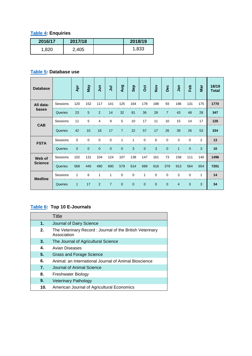## <span id="page-10-0"></span>**[Table 4:](#page-3-1) Enquiries**

| 2016/17 | 2017/18 | 2018/19 |
|---------|---------|---------|
| 1.820   | 2,405   | 1,833   |

## <span id="page-10-1"></span>**[Table 5:](#page-3-2) Database use**

| <b>Database</b> |          | Apr      | <b>May</b>   | $\overline{5}$ | $\bar{5}$ | Aug            | Sep            | ö        | $\frac{5}{2}$ | Dec            | Jan            | Feb      | Mar            | 18/19<br><b>Total</b> |
|-----------------|----------|----------|--------------|----------------|-----------|----------------|----------------|----------|---------------|----------------|----------------|----------|----------------|-----------------------|
| All data-       | Sessions | 120      | 152          | 117            | 141       | 125            | 164            | 178      | 188           | 93             | 186            | 131      | 175            | 1770                  |
| bases           | Queries  | 23       | 5            | 2              | 14        | 32             | 81             | 36       | 28            | $\overline{7}$ | 43             | 48       | 28             | 347                   |
| <b>CAB</b>      | Sessions | 11       | 5            | 4              | 9         | 5              | 10             | 17       | 11            | 10             | 15             | 14       | 17             | 128                   |
|                 | Queries  | 42       | 10           | 18             | 17        | $\overline{7}$ | 22             | 57       | 17            | 26             | 39             | 26       | 53             | 334                   |
| <b>FSTA</b>     | Sessions | $\Omega$ | $\Omega$     | $\Omega$       | $\Omega$  | 1              | 1              | $\Omega$ | 6             | $\Omega$       | 3              | $\Omega$ | $\overline{2}$ | 13                    |
|                 | Queries  | $\Omega$ | $\mathbf{0}$ | $\Omega$       | $\Omega$  | $\overline{0}$ | 3              | $\Omega$ | 3             | $\Omega$       | $\mathbf{1}$   | $\Omega$ | 3              | 10                    |
| Web of          | Sessions | 102      | 131          | 104            | 124       | 107            | 138            | 147      | 161           | 73             | 158            | 111      | 140            | 1496                  |
| <b>Science</b>  | Queries  | 568      | 445          | 490            | 690       | 579            | 614            | 689      | 616           | 379            | 913            | 564      | 654            | 7201                  |
| <b>Medline</b>  | Sessions | 1        | 6            | 1              | 1         | 0              | 0              | 1        | 0             | $\Omega$       | 3              | $\Omega$ | 1              | 14                    |
|                 | Queries  | 1        | 17           | 2              | 7         | $\mathbf 0$    | $\overline{0}$ | 0        | $\mathbf{0}$  | $\mathbf{0}$   | $\overline{4}$ | 0        | 3              | 34                    |

## <span id="page-10-2"></span>**[Table 6:](#page-4-0) Top 10 E-Journals**

|                  | Title                                                                   |
|------------------|-------------------------------------------------------------------------|
| 1.               | Journal of Dairy Science                                                |
| 2.               | The Veterinary Record: Journal of the British Veterinary<br>Association |
| 3.               | The Journal of Agricultural Science                                     |
| 4.               | Avian Diseases                                                          |
| 5.               | <b>Grass and Forage Science</b>                                         |
| 6.               | Animal: an International Journal of Animal Bioscience                   |
| $\overline{7}$ . | Journal of Animal Science                                               |
| 8.               | Freshwater Biology                                                      |
| 9.               | <b>Veterinary Pathology</b>                                             |
| 10.              | American Journal of Agricultural Economics                              |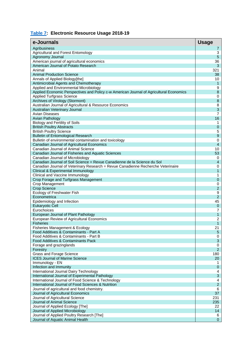## <span id="page-11-0"></span>**[Table 7:](#page-4-1) Electronic Resource Usage 2018-19**

| e-Journals                                                                                                   | <b>Usage</b>                 |
|--------------------------------------------------------------------------------------------------------------|------------------------------|
| Agribusiness                                                                                                 | 7                            |
| Agricultural and Forest Entomology                                                                           | 3                            |
| Agronomy Journal                                                                                             | $\sqrt{5}$                   |
| American journal of agricultural economics                                                                   | 36                           |
| American Journal of Potato Research<br>Animal                                                                | 3<br>321                     |
| <b>Animal Production Science</b>                                                                             | 38                           |
| Annals of Applied Biology[the]                                                                               | 10                           |
| Antimicrobial Agents and Chemotherapy                                                                        | $\mathbf{1}$                 |
| Applied and Environmental Microbiology                                                                       | 9                            |
| Applied Economic Perspectives and Policy c-w American Journal of Agricultural Economics                      | 8                            |
| <b>Applied Turfgrass Science</b>                                                                             | 0                            |
| Archives of Virology (Stormont)                                                                              | $\bf8$                       |
| Australian Journal of Agricultural & Resource Economics                                                      | 8                            |
| Australian Veterinary Journal<br>Avian Diseases                                                              | 3<br>$\overline{7}$          |
| Avian Pathology                                                                                              | 16                           |
| Biology and Fertility of Soils                                                                               | 1                            |
| <b>British Poultry Abstracts</b>                                                                             | $\boldsymbol{0}$             |
| <b>British Poultry Science</b>                                                                               | 5                            |
| <b>Bulletin of Entomological Research</b>                                                                    | $9\,$                        |
| Bulletin of environmental contamination and toxicology                                                       | 0                            |
| Canadian Journal of Agricultural Economics                                                                   | $\overline{4}$               |
| Canadian Journal of Animal Science                                                                           | 10                           |
| Canadian Journal of Fisheries and Aquatic Sciences                                                           | 53                           |
| Canadian Journal of Microbiology<br>Canadian Journal of Soil Science = Revue Canadienne de la Science du Sol | 0<br>$\overline{\mathbf{4}}$ |
| Canadian Journal of Veterinary Research = Revue Canadienne Recherche Veterinaire                             | 0                            |
| Clinical & Experimental Immunology                                                                           | 1                            |
| Clinical and Vaccine Immunology                                                                              | 1                            |
| Crop Forage and Turfgrass Management                                                                         | $\pmb{0}$                    |
| Crop Management                                                                                              | 0                            |
| <b>Crop Science</b>                                                                                          | $\overline{c}$               |
| Ecology of Freshwater Fish                                                                                   | 9                            |
| Econometrica                                                                                                 | $\overline{2}$<br>45         |
| Epidemiology and Infection<br><b>Eukaryotic Cell</b>                                                         | $\mathbf 0$                  |
| Eurochoices                                                                                                  | 7                            |
| European Journal of Plant Pathology                                                                          | 1                            |
| European Review of Agricultural Economics                                                                    | $\overline{c}$               |
| <b>Fisheries</b>                                                                                             | 1                            |
| Fisheries Management & Ecology                                                                               | 21                           |
| Food Additives & Contaminants - Part A                                                                       | 5                            |
| Food Additives & Contaminants - Part B                                                                       | 0                            |
| Food Additives & Contaminants Pack                                                                           | $\sqrt{3}$                   |
| Forage and grazinglands<br>Forestry                                                                          | 0<br>$\overline{c}$          |
| Grass and Forage Science                                                                                     | 180                          |
| <b>ICES Journal of Marine Science</b>                                                                        | 20                           |
| Immunology - EN                                                                                              | 1                            |
| Infection and Immunity                                                                                       | 0                            |
| International Journal Dairy Technology                                                                       | 4                            |
| International Journal of Experimental Pathology                                                              | $\mathbf{3}$                 |
| International Journal of Food Science & Technology                                                           | 4                            |
| International Journal of Food Sciences & Nutrition                                                           | $\overline{2}$<br>6          |
| Journal of agricultural and food chemistry.<br>Journal of Agricultural Economics                             | 37                           |
| Journal of Agricultural Science                                                                              | 231                          |
| Journal of Animal Science                                                                                    | 235                          |
| Journal of Applied Ecology [The]                                                                             | 22                           |
| Journal of Applied Microbiology                                                                              | 14                           |
| Journal of Applied Poultry Research [The]                                                                    | 6                            |
| Journal of Aquatic Animal Health                                                                             | $\mathbf 0$                  |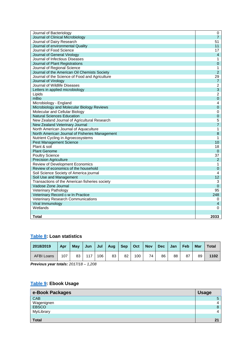| Journal of Bacteriology                        | 0              |
|------------------------------------------------|----------------|
| Journal of Clinical Microbiology               | $\overline{7}$ |
| Journal of Dairy Research                      | 51             |
| Journal of environmental Quality               | 11             |
| Journal of Food Science                        | 17             |
| Journal of General Virology                    | $\overline{4}$ |
| Journal of Infectious Diseases                 | 1              |
| Journal of Plant Registrations                 | $\overline{0}$ |
| Journal of Regional Science                    | 1              |
| Journal of the American Oil Chemists Society   | $\overline{2}$ |
| Journal of the Science of Food and Agriculture | 29             |
| Journal of Virology                            | $\overline{7}$ |
| Journal of Wildlife Diseases                   | $\overline{2}$ |
| Letters in applied microbiology                | $\mathsf 3$    |
| Lipids                                         | 2              |
| mBio                                           | $\overline{0}$ |
| Microbiology - England                         | 4              |
| Microbiology and Molecular Biology Reviews     | 0              |
| Molecular and Cellular Biology                 | 0              |
| <b>Natural Sciences Education</b>              | 0              |
| New Zealand Journal of Agricultural Research   | 5              |
| New Zealand Veterinary Journal                 | 7              |
| North American Journal of Aquaculture          | 1              |
| North American Journal of Fisheries Management | 8              |
| Nutrient Cycling in Agroecosystems             | 1              |
| <b>Pest Management Science</b>                 | 10             |
| Plant & soil                                   | 18             |
| <b>Plant Genome</b>                            | 0              |
| <b>Poultry Science</b>                         | 37             |
| <b>Precision Agriculture</b>                   | $\overline{2}$ |
| Review of Development Economics                | 1              |
| Review of economics of the household           | $\overline{0}$ |
| Soil Science Society of America journal        | 4              |
| Soil Use and Management                        | 12             |
| Transactions of the American fisheries society | 3              |
| Vadose Zone Journal                            | 0              |
| <b>Veterinary Pathology</b>                    | 95             |
| Veterinary Record c-w In Practice              | 248            |
| Veterinary Research Communications             | 0              |
| Viral Immunology                               | 4              |
| Wetlands                                       | 0              |
|                                                |                |
| Total                                          | 2033           |

## <span id="page-12-0"></span>**[Table 8:](#page-4-2) Loan statistics**

| 2018/2019         | Apr | <b>May</b> | Jun | Jul | Aug | Sep | $\vert$ Oct | <b>Nov</b> | Dec | Jan | Feb | <b>Mar</b> | Total |
|-------------------|-----|------------|-----|-----|-----|-----|-------------|------------|-----|-----|-----|------------|-------|
| <b>AFBI Loans</b> | 107 | 83         | 117 | 106 | 83  | 82  | 100         | 74         | 86  | 88  | 87  | 89         | 1102  |

<span id="page-12-1"></span>*Previous year totals: 2017/18 – 1,208*

## **[Table 9:](#page-4-3) Ebook Usage**

| e-Book Packages     | <b>Usage</b> |
|---------------------|--------------|
| CAB                 |              |
| Wagenignen<br>EBSCO |              |
|                     |              |
| MyiLibrary          |              |
|                     |              |
| <b>Total</b>        | n,           |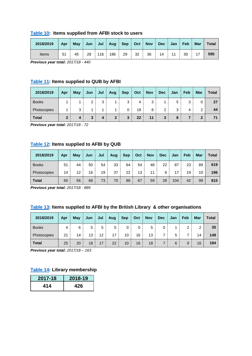#### <span id="page-13-0"></span>**[Table 10:](#page-4-4) Items supplied from AFBI stock to users**

| 2018/2019 | Apr May Jun Jul Aug Sep Oct Nov Dec Jan Feb Mar |    |     |     |    |    |    |    |    | Total |
|-----------|-------------------------------------------------|----|-----|-----|----|----|----|----|----|-------|
| Items     | 45                                              | 28 | 116 | 186 | 29 | 32 | 36 | 14 | 30 | 595   |

*Previous year total: 2017/18 - 440*

## <span id="page-13-1"></span>**[Table 11:](#page-4-5) Items supplied to QUB by AFBI**

| 2018/2019    | Apr          | May | Jun | Jul | Aug            | <b>Sep</b> | Oct | <b>Nov</b> | <b>Dec</b>    | Jan | Feb | <b>Mar</b> | Total |
|--------------|--------------|-----|-----|-----|----------------|------------|-----|------------|---------------|-----|-----|------------|-------|
| <b>Books</b> |              |     | っ   | 3   |                | 3          | 4   | 3          |               | 5   | 3   | 0          | 27    |
| Photocopies  |              | 3   |     |     |                | 0          | 18  | 8          | $\mathcal{D}$ | 3   | 4   | ົ          | 44    |
| <b>Total</b> | $\mathbf{2}$ | 4   | 3   | 4   | $\overline{2}$ | 3          | 22  | 11         | 3             | 8   |     | າ          | 74    |

*Previous year total: 2017/18 - 72*

#### <span id="page-13-2"></span>**[Table 12:](#page-4-6) Items supplied to AFBI by QUB**

| 2018/2019    | Apr | May | Jun | Jul | Aug | <b>Sep</b> | Oct | <b>Nov</b> | <b>Dec</b> | Jan | Feb | Mar | Total |
|--------------|-----|-----|-----|-----|-----|------------|-----|------------|------------|-----|-----|-----|-------|
| <b>Books</b> | 51  | 44  | 50  | 54  | 33  | 64         | 54  | 48         | 22         | 87  | 23  | 89  | 619   |
| Photocopies  | 14  | 12  | 16  | 19  | 37  | 22         | 13  | 11         | 6          | 17  | 19  | 10  | 196   |
| <b>Total</b> | 65  | 56  | 66  | 73  | 70  | 86         | 67  | 59         | 28         | 104 | 42  | 99  | 815   |

*Previous year total: 2017/18 - 889*

## <span id="page-13-3"></span>**[Table 13:](#page-4-7) Items supplied to AFBI by the British Library & other organisations**

| 2018/2019    | Apr | May | Jun | Jul | Aug | <b>Sep</b> | Oct      | <b>Nov</b> | <b>Dec</b> | Jan | Feb | <b>Mar</b> | Total |
|--------------|-----|-----|-----|-----|-----|------------|----------|------------|------------|-----|-----|------------|-------|
| <b>Books</b> | 4   | 6   | 5   | 5   | 5   | 0          | $\Omega$ | 5          |            |     |     | っ          | 35    |
| Photocopies  | 21  | 14  | 13  | 12  | 17  | 10         | 16       | 13         |            | 5   |     | 14         | 149   |
| <b>Total</b> | 25  | 20  | 18  | 17  | 22  | 10         | 16       | 18         |            | 6   | 9   | 16         | 184   |

*Previous year total: 2017/18 – 163*

#### <span id="page-13-4"></span>**[Table 14:](#page-6-0) Library membership**

| 2017-18 | 2018-19 |
|---------|---------|
| 414     | 426     |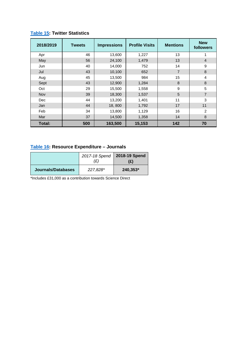<span id="page-14-0"></span>

| 2018/2019  | <b>Tweets</b> | <b>Impressions</b> | <b>Profile Visits</b> | <b>Mentions</b> | <b>New</b><br>followers |
|------------|---------------|--------------------|-----------------------|-----------------|-------------------------|
| Apr        | 46            | 13,600             | 1,227                 | 13              | 1                       |
| May        | 56            | 24,100             | 1,479                 | 13              | $\overline{4}$          |
| Jun        | 40            | 14,000             | 752                   | 14              | 9                       |
| Jul        | 43            | 10,100             | 652                   | $\overline{7}$  | 8                       |
| Aug        | 45            | 13,500             | 984                   | 15              | 4                       |
| Sept       | 43            | 12,900             | 1,284                 | 8               | 8                       |
| Oct        | 29            | 15,500             | 1,558                 | 9               | 5                       |
| <b>Nov</b> | 39            | 18,300             | 1,537                 | 5               | 7                       |
| Dec        | 44            | 13,200             | 1,401                 | 11              | 3                       |
| Jan        | 44            | 18,800             | 1,792                 | 17              | 11                      |
| Feb        | 34            | 13,800             | 1,129                 | 16              | 2                       |
| Mar        | 37            | 14,500             | 1,358                 | 14              | 8                       |
| Total:     | 500           | 163,500            | 15,153                | 142             | 70                      |

## <span id="page-14-1"></span>**[Table 16:](#page-7-0) Resource Expenditure – Journals**

|                    | 2017-18 Spend<br>(£) | 2018-19 Spend<br>(£) |
|--------------------|----------------------|----------------------|
| Journals/Databases | 227.828*             | 240,353*             |

\*Includes £31,000 as a contribution towards Science Direct